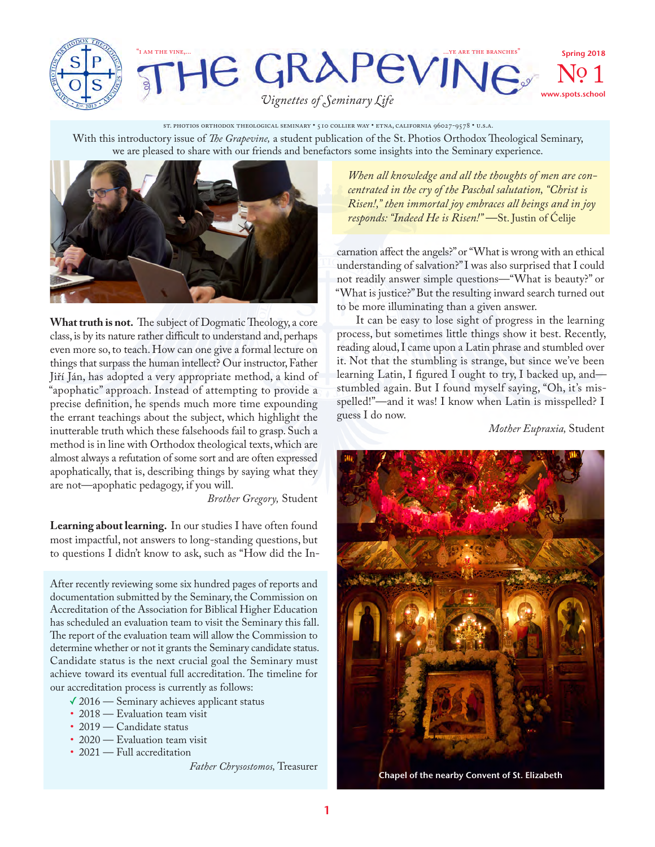

## HE GRAPEVINE. Spring 2018 No. 1 www.spots.school

*Vignettes of Seminary Life*

With this introductory issue of *The Grapevine,* a student publication of the St. Photios Orthodox Theological Seminary, we are pleased to share with our friends and benefactors some insights into the Seminary experience. ST. PHOTIOS ORTHODOX THEOLOGICAL SEMINARY • 510 COLLIER WAY • ETNA, CALIFORNIA 96027-9578 • U.S.A.



**What truth is not.** The subject of Dogmatic Theology, a core class, is by its nature rather difficult to understand and, perhaps even more so, to teach. How can one give a formal lecture on things that surpass the human intellect? Our instructor, Father Jiří Ján, has adopted a very appropriate method, a kind of "apophatic" approach. Instead of attempting to provide a precise definition, he spends much more time expounding the errant teachings about the subject, which highlight the inutterable truth which these falsehoods fail to grasp. Such a method is in line with Orthodox theological texts, which are almost always a refutation of some sort and are often expressed apophatically, that is, describing things by saying what they are not—apophatic pedagogy, if you will.

*Brother Gregory,* Student

**Learning about learning.** In our studies I have often found most impactful, not answers to long-standing questions, but to questions I didn't know to ask, such as "How did the In-

After recently reviewing some six hundred pages of reports and documentation submitted by the Seminary, the Commission on Accreditation of the Association for Biblical Higher Education has scheduled an evaluation team to visit the Seminary this fall. The report of the evaluation team will allow the Commission to determine whether or not it grants the Seminary candidate status. Candidate status is the next crucial goal the Seminary must achieve toward its eventual full accreditation. The timeline for our accreditation process is currently as follows:

- ✓2016 Seminary achieves applicant status
- 2018 Evaluation team visit
- 2019 Candidate status
- 2020 Evaluation team visit
- 2021 Full accreditation

*Father Chrysostomos,* Treasurer

*When all knowledge and all the thoughts of men are concentrated in the cry of the Paschal salutation, "Christ is Risen!," then immortal joy embraces all beings and in joy responds: "Indeed He is Risen!"* —St. Justin of Ćelije

carnation affect the angels?" or "What is wrong with an ethical understanding of salvation?" I was also surprised that I could not readily answer simple questions—"What is beauty?" or "What is justice?" But the resulting inward search turned out to be more illuminating than a given answer.

It can be easy to lose sight of progress in the learning process, but sometimes little things show it best. Recently, reading aloud, I came upon a Latin phrase and stumbled over it. Not that the stumbling is strange, but since we've been learning Latin, I figured I ought to try, I backed up, and stumbled again. But I found myself saying, "Oh, it's misspelled!"—and it was! I know when Latin is misspelled? I guess I do now.

*Mother Eupraxia,* Student